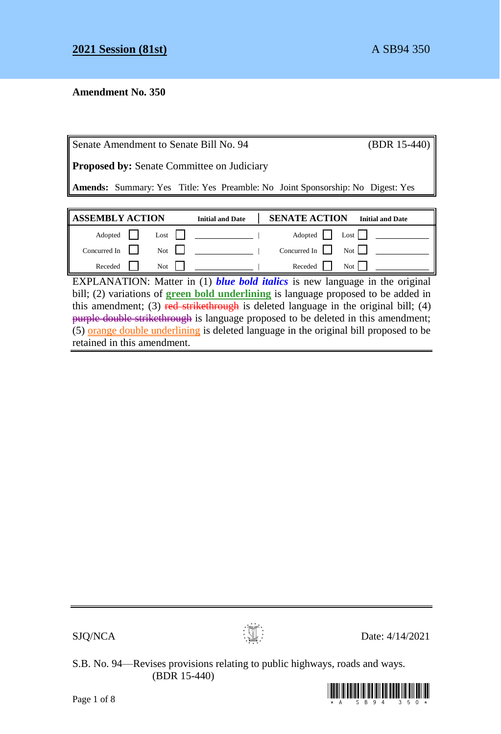# **Amendment No. 350**

| Senate Amendment to Senate Bill No. 94                                                | (BDR 15-440) |                         |                      |                         |  |  |
|---------------------------------------------------------------------------------------|--------------|-------------------------|----------------------|-------------------------|--|--|
| <b>Proposed by:</b> Senate Committee on Judiciary                                     |              |                         |                      |                         |  |  |
| <b>Amends:</b> Summary: Yes Title: Yes Preamble: No Joint Sponsorship: No Digest: Yes |              |                         |                      |                         |  |  |
|                                                                                       |              |                         |                      |                         |  |  |
|                                                                                       |              |                         |                      |                         |  |  |
| <b>ASSEMBLY ACTION</b>                                                                |              | <b>Initial and Date</b> | <b>SENATE ACTION</b> | <b>Initial and Date</b> |  |  |
| Adopted                                                                               | Lost         |                         | Adopted              | Last                    |  |  |
| Concurred In                                                                          | Not          |                         | Concurred In         | Not 1                   |  |  |

EXPLANATION: Matter in (1) *blue bold italics* is new language in the original bill; (2) variations of **green bold underlining** is language proposed to be added in this amendment; (3) red strikethrough is deleted language in the original bill; (4) purple double strikethrough is language proposed to be deleted in this amendment;  $(5)$  orange double underlining is deleted language in the original bill proposed to be retained in this amendment.

 $SJQ/NCA$  Date: 4/14/2021

S.B. No. 94—Revises provisions relating to public highways, roads and ways. (BDR 15-440)

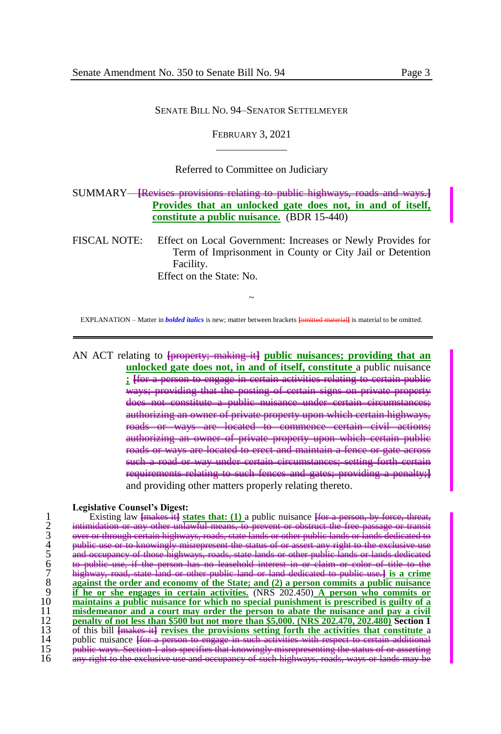#### SENATE BILL NO. 94–SENATOR SETTELMEYER

FEBRUARY 3, 2021  $\overline{\phantom{a}}$  , where  $\overline{\phantom{a}}$ 

### Referred to Committee on Judiciary

SUMMARY—**[**Revises provisions relating to public highways, roads and ways.**] Provides that an unlocked gate does not, in and of itself, constitute a public nuisance.** (BDR 15-440)

FISCAL NOTE: Effect on Local Government: Increases or Newly Provides for Term of Imprisonment in County or City Jail or Detention Facility. Effect on the State: No.

~ EXPLANATION – Matter in *bolded italics* is new; matter between brackets **[**omitted material**]** is material to be omitted.

AN ACT relating to **[**property; making it**] public nuisances; providing that an unlocked gate does not, in and of itself, constitute** a public nuisance **; [**for a person to engage in certain activities relating to certain public ways; providing that the posting of certain signs on private property does not constitute a public nuisance under certain circums authorizing an owner of private property upon which certain highways, roads or ways are located to commence certain civil actions; authorizing an owner of private property upon which certain roads or ways are located to erect and maintain a fence or gate a such a road or way under certain circumstances; setting forth certain requirements relating to such fences and gates; providing a penalty;**]** and providing other matters properly relating thereto.

#### **Legislative Counsel's Digest:**

Existing law <del>[makes it]</del> **states that:** (1) a public nuisance [for intimidation or any other unlawful means, to prevent or obstruct over or through entain highways, roads, state lands or other public use or a search and d 2 intimidation or any other unlawful means, to prevent or obstruct the free passage or transit 3 over or through certain highways, roads, state lands or other public lands or lands dedicated to 4 public use or to knowingly misrepresent the status of or assert any right to the exclusive use occupancy of those highways, roads, state lands or other public lands or lands dedicated has no leasehold interest<br>6 other public land or land 7 highway, road, state land or other public land or land dedicated to public use.**] is a crime**  against the order and economy of the State; and (2) a person commits a public nuisance if he or she engages in certain activities. (NRS 202.450) A person who commits or 10 **maintains a public nuisance for which no special punishment is prescribed is guilty of a**  11 **misdemeanor and a court may order the person to abate the nuisance and pay a civil<br>
12 <b>penalty of not less than \$500 but not more than \$5,000.** (NRS 202.470, 202.480) Section 1<br>
13 of this bill <del>[makes it]</del> revises th 12 **penalty of not less than \$500 but not more than \$5,000. (NRS 202.470, 202.480) Section 1** 13 of this bill  $\frac{1}{k}$  **[makes itt**] **revises the provisions setting forth the activities that constitute a** nublic puisance for a person to engage in such activities with respect to certain additional 14 public nuisance <del>[for a</del> person to engage in such a person in such a person in such as  $\frac{1}{2}$  respect to compute the value of the certain and the certain and the certain and the certain and the certain and the certai 15 public ways. Section 16 and specifies that the status of the status of the status of the status of the status of the status of the status of the status of the status of the status of the status of the status of the stat 16 any right to the exclusive use and occupancy of such highways, roads, ways or lands may be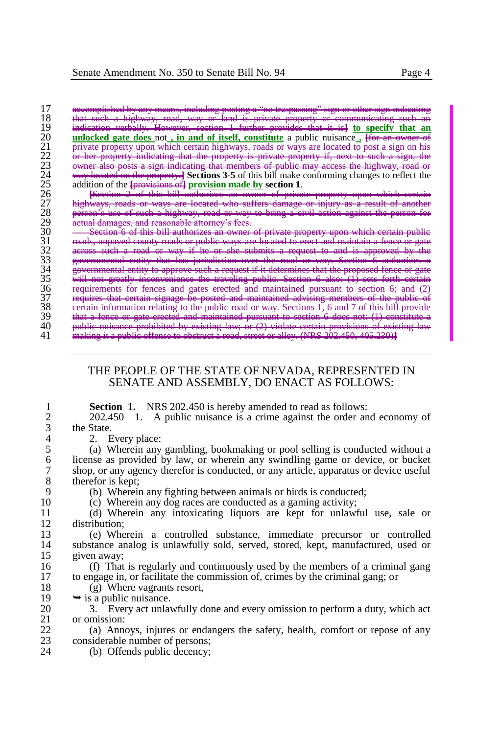17 accomplished by any means, including posting a "no trespassing" sign or other sign indicating 18 that such a highway, road, way or land is private property or communicating such an 19 indication verbally. However, section 1 further provides that it is] to specify that an **unlocked gate does** not **in and of itself, constitute** a public nuisance For an owner of private property indicating that the prop **unlocked gate does not** , in and of itself, constitute a public nuisance . However,  $\frac{1}{2}$ property upon which certain highways, roads or ways are located to post a sign on his<br>property indicating that the property is private property if next to such a sign, the property indicating that the property is private property if, next to such a<br>also posts a sign indicating that members of public may access the highway 23 owner also posts a sign indicating that members of public may access the highway, road or 24 way located on the property.**] Sections 3-5** of this bill make conforming changes to reflect the addition of the **[provisions of**] **provision made by section 1**.

 **[**Section 2 of this bill authorizes an owner of private property upon which certain highways, roads or ways are located who suffers damage or injury as a result of another **person's use of such a highway, road or way to bring a civil action against the person for** actual damages, and reasonable attorney's fees.

30 Section 6 of this bill authorizes an owner of private property upon which certain public 31 roads, unpaved county roads or public ways are located to crect and maintain a fence or gate across such a road or way if he or she submits a request to and is approved by the governmental entity that has jurisdiction over the road or way. Section 6 authorizes a governmental entity to approve such a request if it determines that the proposed fence or gate will not greatly inconvenience the traveling public. Section 6 also: (1) sets forth certain requirements for fences and gates erected and maintained pursuant to section 6; and (2) requires that certain signage be posted and maintained advising members of the public of certain information relating to the public road or way. Sections 1, 6 and 7 of this bill provide that a fence or gate erected and maintained pursuant to section 6 does not: (1) constitute a **public nuisance prohibited by existing law; or** (2) violate certain provisions of existing law making it a public offense to obstruct a road, street or alley. (NRS 202.450, 405.230)**]**

## THE PEOPLE OF THE STATE OF NEVADA, REPRESENTED IN SENATE AND ASSEMBLY, DO ENACT AS FOLLOWS:

1 **Section 1.** NRS 202.450 is hereby amended to read as follows:<br>2 202.450 1 A public puisance is a crime against the order an 2 202.450 1. A public nuisance is a crime against the order and economy of the State.  $\frac{3}{4}$  the State.

4 2. Every place:<br>5 (a) Wherein any 5 (a) Wherein any gambling, bookmaking or pool selling is conducted without a 6 license as provided by law, or wherein any swindling game or device, or bucket 7 shop, or any agency therefor is conducted, or any article, apparatus or device useful  $\begin{array}{cc} 8 & \text{therefor is kept;} \\ 9 & \text{(b) Whereif} \end{array}$ 

9 (b) Wherein any fighting between animals or birds is conducted;<br>10 (c) Wherein any dog races are conducted as a gaming activity:

10 (c) Wherein any dog races are conducted as a gaming activity;<br>11 (d) Wherein any intoxicating liquors are kent for unlawf

11 (d) Wherein any intoxicating liquors are kept for unlawful use, sale or  $12$  distribution;<br>13 (e) Whe

13 (e) Wherein a controlled substance, immediate precursor or controlled 14 substance analog is unlawfully sold, served, stored, kept, manufactured, used or 15 given away;<br>16 (f) That

16 (f) That is regularly and continuously used by the members of a criminal gang<br>17 to engage in or facilitate the commission of crimes by the criminal gang: or 17 to engage in, or facilitate the commission of, crimes by the criminal gang; or  $(8)$  Where vagrants resort

18 (g) Where vagrants resort,<br>19  $\rightarrow$  is a public nuisance

19  $\rightarrow$  is a public nuisance.<br>20  $\rightarrow$  3 Every act unlay

20 3. Every act unlawfully done and every omission to perform a duty, which act 21 or omission:  $\begin{array}{cc} 21 & \text{or omission:} \\ 22 & \text{(a) Ann} \end{array}$ 

22 (a) Annoys, injures or endangers the safety, health, comfort or repose of any considerable number of persons: considerable number of persons;

24 (b) Offends public decency;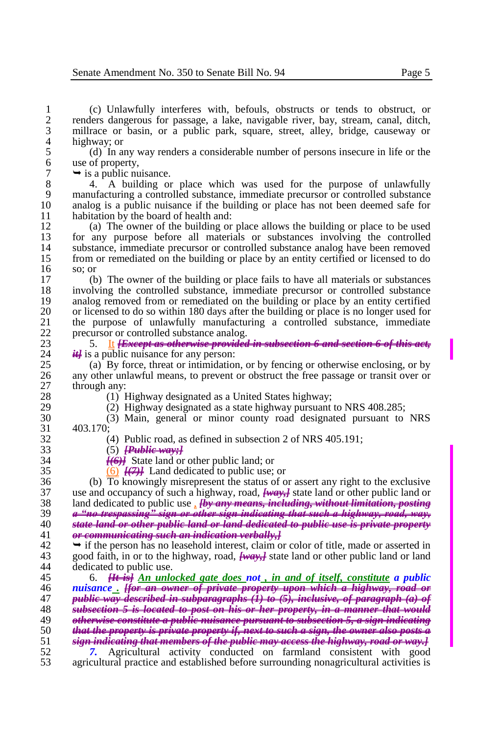(c) Unlawfully interferes with, befouls, obstructs or tends to obstruct, or renders dangerous for passage, a lake, navigable river, bay, stream, canal, ditch, millrace or basin, or a public park, square, street, alley, bridge, causeway or 4 highway; or<br>5 (d) In a

5 (d) In any way renders a considerable number of persons insecure in life or the 6 use of property,<br>  $7 \rightarrow$  is a public nu

 $7 \rightarrow$  is a public nuisance.<br>8  $4.$  A building or

8 4. A building or place which was used for the purpose of unlawfully<br>9 manufacturing a controlled substance, immediate precursor or controlled substance 9 manufacturing a controlled substance, immediate precursor or controlled substance<br>10 analog is a public nuisance if the building or place has not been deemed safe for 10 analog is a public nuisance if the building or place has not been deemed safe for habitation by the board of health and: 11 habitation by the board of health and:<br>12 (a) The owner of the building or

12 (a) The owner of the building or place allows the building or place to be used<br>13 for any purpose before all materials or substances involving the controlled 13 for any purpose before all materials or substances involving the controlled 14 substance, immediate precursor or controlled substance analog have been removed<br>15 from or remediated on the building or place by an entity certified or licensed to do 15 from or remediated on the building or place by an entity certified or licensed to do so: or  $\begin{array}{cc} 16 & \text{so; or} \\ 17 & \text{(b)} \end{array}$ 

17 (b) The owner of the building or place fails to have all materials or substances 18 involving the controlled substance, immediate precursor or controlled substance 19 analog removed from or remediated on the building or place by an entity certified<br>20 or licensed to do so within 180 days after the building or place is no longer used for 20 or licensed to do so within 180 days after the building or place is no longer used for<br>21 the purpose of unlawfully manufacturing a controlled substance, immediate 21 the purpose of unlawfully manufacturing a controlled substance, immediate originary or controlled substance analog 22 precursor or controlled substance analog.<br>23  $\frac{5}{1}$  It *Execut as otherwise provided* 

23 5. It *History as otherwise provided in subsection 6 and section 6 of this act*,  $\frac{24}{\pi}$  is a public nuisance for any person: 24 *it* is a public nuisance for any person:<br>25 (a) By force, threat or intimidation

25 (a) By force, threat or intimidation, or by fencing or otherwise enclosing, or by 26 any other unlawful means, to prevent or obstruct the free passage or transit over or 26 any other unlawful means, to prevent or obstruct the free passage or transit over or through any:  $\begin{array}{c} 27 \\ 28 \end{array}$  through any:

28 (1) Highway designated as a United States highway;<br>29 (2) Highway designated as a state highway pursuant

29 (2) Highway designated as a state highway pursuant to NRS 408.285;<br>30 (3) Main, general or minor county road designated pursuant to

30 (3) Main, general or minor county road designated pursuant to NRS 31 403.170;

32 (4) Public road, as defined in subsection 2 of NRS 405.191;<br>33 (5) Public wavel

33 (5) *[Public way;]*

34  $\frac{[(6)]}{(6)}$  State land or other public land; or 35  $\frac{(6)}{12}$  Land dedicated to public use:

 $\overline{(6)}$   $\overline{H(7)}$  Land dedicated to public use; or

36 (b) To knowingly misrepresent the status of or assert any right to the exclusive 37 (b) To knowingly misrepresent the status of or assert any right to the exclusive 37 use and occupancy of such a highway, road, *[way,]* state land or other public land or<br>38 land dedicated to public use *. Hy any means, including, without limitation, posting*  land dedicated to public use , *[by any means, including, without limitation, posting a "no trespassing" sign or other sign indicating that such a highway, road, way, state land or other public land or land dedicated to public use is private property or communicating such an indication verbally,]*

42  $\rightarrow$  if the person has no leasehold interest, claim or color of title, made or asserted in<br>43 sood faith, in or to the highway, road, **heavy** state land or other public land or land 43 good faith, in or to the highway, road,  $\frac{f_{\text{max}}}{f_{\text{max}}}$  state land or other public land or land dedicated to public use. dedicated to public use.

 6. *[It is] An unlocked gate does not , in and of itself, constitute a public nuisance . [for an owner of private property upon which a highway, road or public way described in subparagraphs (1) to (5), inclusive, of paragraph (a) of subsection 5 is located to post on his or her property, in a manner that would otherwise constitute a public nuisance pursuant to subsection 5, a sign indicating that the property is private property if, next to such a sign, the owner also posts a sign indicating that members of the public may access the highway, road or way.] 7.* Agricultural activity conducted on farmland consistent with good

53 agricultural practice and established before surrounding nonagricultural activities is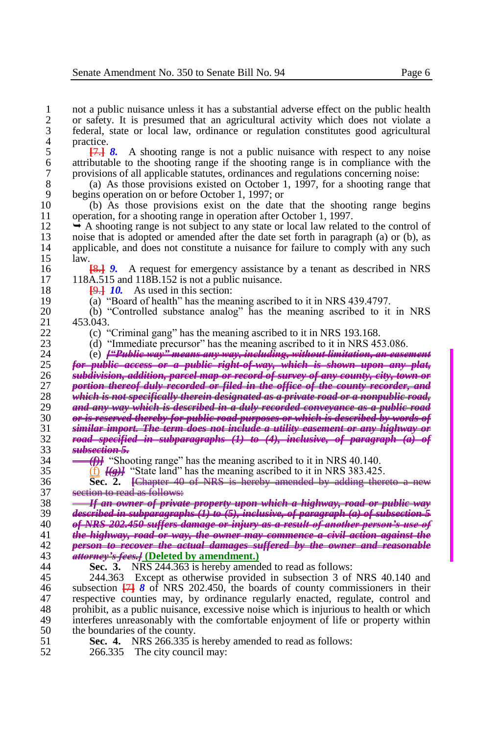1 not a public nuisance unless it has a substantial adverse effect on the public health 2 or safety. It is presumed that an agricultural activity which does not violate a 2 or safety. It is presumed that an agricultural activity which does not violate a 3 federal, state or local law, ordinance or regulation constitutes good agricultural 4 practice.<br> $\frac{4}{5}$  practice.

5 **[**7.**]** *8.* A shooting range is not a public nuisance with respect to any noise 6 attributable to the shooting range if the shooting range is in compliance with the provisions of all applicable statutes, ordinances and regulations concerning noise: 7 provisions of all applicable statutes, ordinances and regulations concerning noise:<br>8 (a) As those provisions existed on October 1, 1997, for a shooting range the

8 (a) As those provisions existed on October 1, 1997, for a shooting range that begins operation on or before October 1, 1997; or 9 begins operation on or before October 1, 1997; or<br>10 (b) As those provisions exist on the date

10 (b) As those provisions exist on the date that the shooting range begins operation for a shooting range in operation after October 1, 1997. 11 operation, for a shooting range in operation after October 1, 1997.<br>12  $\rightarrow$  A shooting range is not subject to any state or local law related

12  $\rightarrow$  A shooting range is not subject to any state or local law related to the control of noise that is adopted or amended after the date set forth in paragraph (a) or (b), as 13 noise that is adopted or amended after the date set forth in paragraph (a) or (b), as<br>14 applicable, and does not constitute a nuisance for failure to comply with any such 14 applicable, and does not constitute a nuisance for failure to comply with any such 15 aw.  $\begin{array}{cc} 15 & \text{law.} \\ 16 & \text{law.} \end{array}$ 

16 **[8.] 9.** A request for emergency assistance by a tenant as described in NRS 17 118A.515 and 118B.152 is not a public puisance. 17 118A.515 and 118B.152 is not a public nuisance.

18 **[9.]** *10*. As used in this section:<br>19 (a) "Board of health" has the mea

19 (a) "Board of health" has the meaning ascribed to it in NRS 439.4797.<br>20 (b) "Controlled substance analog" has the meaning ascribed to it

20 (b) "Controlled substance analog" has the meaning ascribed to it in NRS  $\frac{21}{22}$  453.043.

22 (c) "Criminal gang" has the meaning ascribed to it in NRS 193.168.<br>23 (d) "Immediate precursor" has the meaning ascribed to it in NRS 45

23 (d) "Immediate precursor" has the meaning ascribed to it in NRS 453.086.<br>24 (e)  $\frac{1000 \text{ m}}{4}$  examples way" means any way, including, without limitation, an ease

 (e) *["Public way" means any way, including, without limitation, an easement for public access or a public right-of-way, which is shown upon any plat, subdivision, addition, parcel map or record of survey of any county, city, town or portion thereof duly recorded or filed in the office of the county recorder, and which is not specifically therein designated as a private road or a nonpublic road, and any way which is described in a duly recorded conveyance as a public road or is reserved thereby for public road purposes or which is described by words of similar import. The term does not include a utility easement or any highway or road specified in subparagraphs (1) to (4), inclusive, of paragraph (a)*  $\frac{1}{3}$  *subsection 5. subsection 5.*

 $\frac{34}{35}$  **(f)** "Shooting range" has the meaning ascribed to it in NRS 40.140.<br>35 (f)  $\frac{1}{35}$  (f)  $\frac{1}{35}$  "State land" has the meaning ascribed to it in NRS 383.425

 $\overline{f}$  *[(g)]* "State land" has the meaning ascribed to it in NRS 383.425.

36 **Sec. 2. [Chapter 40 of NRS is hereby amended by adding thereto** 37 **section to read as follows:** 37 section to read as follows:<br>38 - If an owner of privation

 *If an owner of private property upon which a highway, road or public way*   $\frac{39}{46}$  *described in subparagraphs*  $(1)$  to  $(5)$ , inclusive, of paragraph (a) of subsection  $\frac{39}{4}$  of NRS 202.450 suffers damage or injury as a result of another person's use. *of NRS 202.450 suffers damage or injury as a result of another person's use of*  the highway, road or way, the owner may commence a civil action against *person to recover the actual damages suffered by the owner and reasonable attorney's fees.]* **(Deleted by amendment.)**

44 **Sec. 3.** NRS 244.363 is hereby amended to read as follows:

45 244.363 Except as otherwise provided in subsection 3 of NRS 40.140 and 46 subsection **[**7**]** *8* of NRS 202.450, the boards of county commissioners in their 47 respective counties may, by ordinance regularly enacted, regulate, control and 48 rotabilities as a public nuisance, excessive noise which is injurious to health or which 48 prohibit, as a public nuisance, excessive noise which is injurious to health or which<br>49 interferes unreasonably with the comfortable enjoyment of life or property within 49 interferes unreasonably with the comfortable enjoyment of life or property within the boundaries of the county. 50 the boundaries of the county.<br>51 **Sec. 4.** NRS 266.335 is

- 51 **Sec. 4.** NRS 266.335 is hereby amended to read as follows:<br>52 266.335 The city council may:
- 266.335 The city council may: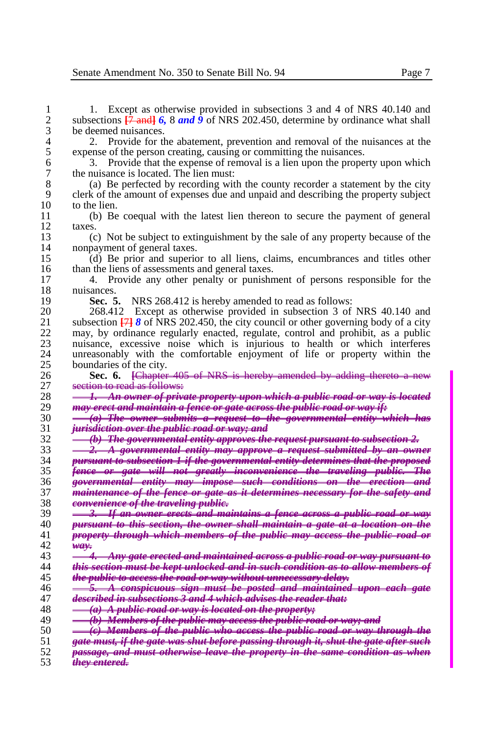1 1. Except as otherwise provided in subsections 3 and 4 of NRS 40.140 and 2 subsections  $\frac{17 \text{ and } 16.8 \text{ and } 9}$  of NRS 202.450, determine by ordinance what shall 2 subsections  $\frac{7}{7}$  and  $\frac{7}{7}$  *6, 8 and*  $\frac{9}{7}$  of NRS 202.450, determine by ordinance what shall be deemed nuisances.  $\frac{3}{4}$  be deemed nuisances.<br> $\frac{2}{5}$  Provide for the

4 2. Provide for the abatement, prevention and removal of the nuisances at the expense of the person creating, causing or committing the nuisances. 5 expense of the person creating, causing or committing the nuisances.<br>6 3. Provide that the expense of removal is a lien upon the prope

<sup>6</sup> 3. Provide that the expense of removal is a lien upon the property upon which<br><sup>7</sup> the nuisance is located. The lien must: 7 the nuisance is located. The lien must:<br>8 (a) Be perfected by recording wit

8 (a) Be perfected by recording with the county recorder a statement by the city<br>9 clerk of the amount of expenses due and unpaid and describing the property subject clerk of the amount of expenses due and unpaid and describing the property subject 10 to the lien.<br>11 (b) Be

 (b) Be coequal with the latest lien thereon to secure the payment of general  $\begin{array}{cc} 12 & \text{taxes.} \\ 13 & \text{(c)} \end{array}$ 

 (c) Not be subject to extinguishment by the sale of any property because of the 14 nonpayment of general taxes.<br>15 (d) Be prior and superio

 (d) Be prior and superior to all liens, claims, encumbrances and titles other 16 than the liens of assessments and general taxes.<br>17 4 Provide any other penalty or punish

 4. Provide any other penalty or punishment of persons responsible for the 18 nuisances.<br>19 **Sec.** 5

19 **Sec. 5.** NRS 268.412 is hereby amended to read as follows:<br>20 268.412 Except as otherwise provided in subsection 3 of

20 268.412 Except as otherwise provided in subsection 3 of NRS 40.140 and 21 subsection  $\frac{1718}{17}$  of NRS 202.450, the city council or other governing body of a city 21 subsection  $\frac{1}{2}$  *8* of NRS 202.450, the city council or other governing body of a city may by ordinance regularly enacted regulate control and prohibit as a public 22 may, by ordinance regularly enacted, regulate, control and prohibit, as a public<br>23 musance, excessive noise which is injurious to health or which interferes 23 nuisance, excessive noise which is injurious to health or which interferes<br>24 unreasonably with the comfortable enjoyment of life or property within the unreasonably with the comfortable enjoyment of life or property within the 25 boundaries of the city.<br>26 **Sec. 6.** <del>[Chapter</del>]

 **Sec. 6. [**Chapter 405 of NRS is hereby amended by adding thereto a new 27 section to read as follows:<br>28  $\frac{1}{2}$  An owner of priv

 *1. An owner of private property upon which a public road or way is located may erect and maintain a fence or gate across the public road or way if:*

 *(a) The owner submits a request to the governmental entity which has jurisdiction over the public road or way; and*

*(b) The governmental entity approves the request pursuant to subsection 2.* 

 *2. A governmental entity may approve a request submitted by an owner pursuant to subsection 1 if the governmental entity determines that the proposed fence or gate will not greatly inconvenience the traveling public. The governmental entity may impose such conditions on the erection and maintenance of the fence or gate as it determines necessary for the safety and* 

 *convenience of the traveling public. 3. If an owner erects and maintains a fence across a public road or way pursuant to this section, the owner shall maintain a gate at a location on the property through which members of the public may access the public road or way.*

| 43 | <b>4. Any gate erected and maintained across a public road or way pursuant to</b>                                                               |
|----|-------------------------------------------------------------------------------------------------------------------------------------------------|
| 44 | this section must be kept unlocked and in such condition as to allow members of                                                                 |
|    | $A = \frac{1}{2}$ $A = \frac{1}{2}$ $A = \frac{1}{2}$ $A = \frac{1}{2}$ $A = \frac{1}{2}$ $A = \frac{1}{2}$ $A = \frac{1}{2}$ $A = \frac{1}{2}$ |

*the public to access the road or way without unnecessary delay.*

*5. A conspicuous sign must be posted and maintained upon each gate* 

 *described in subsections 3 and 4 which advises the reader that: (a) A public road or way is located on the property;*

*(b) Members of the public may access the public road or way; and*

*(c) Members of the public who access the public road or way through the* 

*gate must, if the gate was shut before passing through it, shut the gate after such* 

 *passage, and must otherwise leave the property in the same condition as when they entered.*